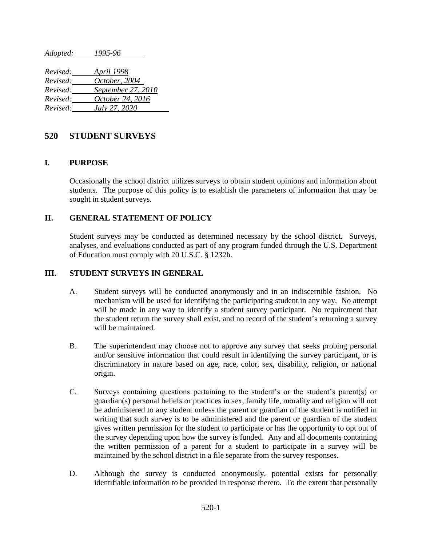*Adopted: 1995-96*

| Revised: | April 1998         |
|----------|--------------------|
| Revised: | October, 2004      |
| Revised: | September 27, 2010 |
| Revised: | October 24, 2016   |
| Revised: | July 27, 2020      |

## **520 STUDENT SURVEYS**

### **I. PURPOSE**

Occasionally the school district utilizes surveys to obtain student opinions and information about students. The purpose of this policy is to establish the parameters of information that may be sought in student surveys.

### **II. GENERAL STATEMENT OF POLICY**

Student surveys may be conducted as determined necessary by the school district. Surveys, analyses, and evaluations conducted as part of any program funded through the U.S. Department of Education must comply with 20 U.S.C. § 1232h.

#### **III. STUDENT SURVEYS IN GENERAL**

- A. Student surveys will be conducted anonymously and in an indiscernible fashion. No mechanism will be used for identifying the participating student in any way. No attempt will be made in any way to identify a student survey participant. No requirement that the student return the survey shall exist, and no record of the student's returning a survey will be maintained.
- B. The superintendent may choose not to approve any survey that seeks probing personal and/or sensitive information that could result in identifying the survey participant, or is discriminatory in nature based on age, race, color, sex, disability, religion, or national origin.
- C. Surveys containing questions pertaining to the student's or the student's parent(s) or guardian(s) personal beliefs or practices in sex, family life, morality and religion will not be administered to any student unless the parent or guardian of the student is notified in writing that such survey is to be administered and the parent or guardian of the student gives written permission for the student to participate or has the opportunity to opt out of the survey depending upon how the survey is funded. Any and all documents containing the written permission of a parent for a student to participate in a survey will be maintained by the school district in a file separate from the survey responses.
- D. Although the survey is conducted anonymously, potential exists for personally identifiable information to be provided in response thereto. To the extent that personally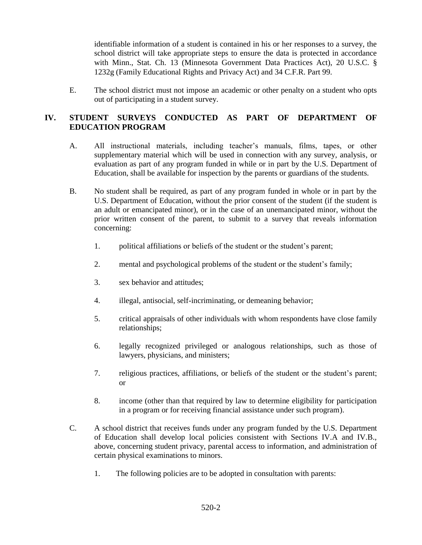identifiable information of a student is contained in his or her responses to a survey, the school district will take appropriate steps to ensure the data is protected in accordance with Minn., Stat. Ch. 13 (Minnesota Government Data Practices Act), 20 U.S.C. § 1232g (Family Educational Rights and Privacy Act) and 34 C.F.R. Part 99.

E. The school district must not impose an academic or other penalty on a student who opts out of participating in a student survey.

# **IV. STUDENT SURVEYS CONDUCTED AS PART OF DEPARTMENT OF EDUCATION PROGRAM**

- A. All instructional materials, including teacher's manuals, films, tapes, or other supplementary material which will be used in connection with any survey, analysis, or evaluation as part of any program funded in while or in part by the U.S. Department of Education, shall be available for inspection by the parents or guardians of the students.
- B. No student shall be required, as part of any program funded in whole or in part by the U.S. Department of Education, without the prior consent of the student (if the student is an adult or emancipated minor), or in the case of an unemancipated minor, without the prior written consent of the parent, to submit to a survey that reveals information concerning:
	- 1. political affiliations or beliefs of the student or the student's parent;
	- 2. mental and psychological problems of the student or the student's family;
	- 3. sex behavior and attitudes;
	- 4. illegal, antisocial, self-incriminating, or demeaning behavior;
	- 5. critical appraisals of other individuals with whom respondents have close family relationships;
	- 6. legally recognized privileged or analogous relationships, such as those of lawyers, physicians, and ministers;
	- 7. religious practices, affiliations, or beliefs of the student or the student's parent; or
	- 8. income (other than that required by law to determine eligibility for participation in a program or for receiving financial assistance under such program).
- C. A school district that receives funds under any program funded by the U.S. Department of Education shall develop local policies consistent with Sections IV.A and IV.B., above, concerning student privacy, parental access to information, and administration of certain physical examinations to minors.
	- 1. The following policies are to be adopted in consultation with parents: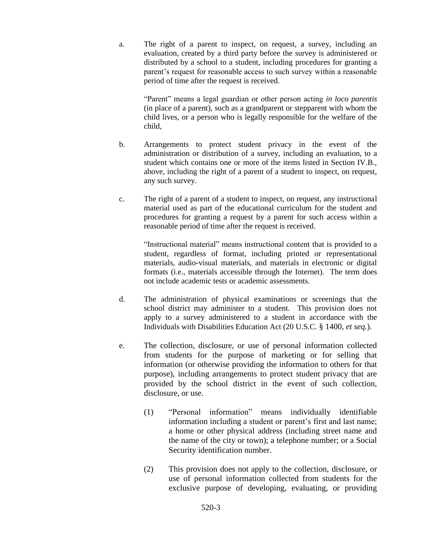a. The right of a parent to inspect, on request, a survey, including an evaluation, created by a third party before the survey is administered or distributed by a school to a student, including procedures for granting a parent's request for reasonable access to such survey within a reasonable period of time after the request is received.

"Parent" means a legal guardian or other person acting *in loco parentis* (in place of a parent), such as a grandparent or stepparent with whom the child lives, or a person who is legally responsible for the welfare of the child,

- b. Arrangements to protect student privacy in the event of the administration or distribution of a survey, including an evaluation, to a student which contains one or more of the items listed in Section IV.B., above, including the right of a parent of a student to inspect, on request, any such survey.
- c. The right of a parent of a student to inspect, on request, any instructional material used as part of the educational curriculum for the student and procedures for granting a request by a parent for such access within a reasonable period of time after the request is received.

"Instructional material" means instructional content that is provided to a student, regardless of format, including printed or representational materials, audio-visual materials, and materials in electronic or digital formats (i.e., materials accessible through the Internet). The term does not include academic tests or academic assessments.

- d. The administration of physical examinations or screenings that the school district may administer to a student. This provision does not apply to a survey administered to a student in accordance with the Individuals with Disabilities Education Act (20 U.S.C. § 1400, *et seq.*).
- e. The collection, disclosure, or use of personal information collected from students for the purpose of marketing or for selling that information (or otherwise providing the information to others for that purpose), including arrangements to protect student privacy that are provided by the school district in the event of such collection, disclosure, or use.
	- (1) "Personal information" means individually identifiable information including a student or parent's first and last name; a home or other physical address (including street name and the name of the city or town); a telephone number; or a Social Security identification number.
	- (2) This provision does not apply to the collection, disclosure, or use of personal information collected from students for the exclusive purpose of developing, evaluating, or providing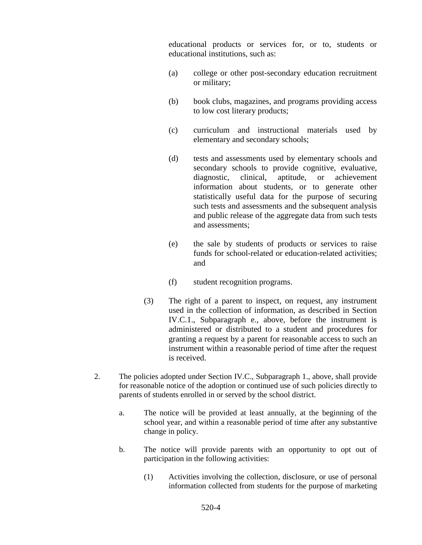educational products or services for, or to, students or educational institutions, such as:

- (a) college or other post-secondary education recruitment or military;
- (b) book clubs, magazines, and programs providing access to low cost literary products;
- (c) curriculum and instructional materials used by elementary and secondary schools;
- (d) tests and assessments used by elementary schools and secondary schools to provide cognitive, evaluative, diagnostic, clinical, aptitude, or achievement information about students, or to generate other statistically useful data for the purpose of securing such tests and assessments and the subsequent analysis and public release of the aggregate data from such tests and assessments;
- (e) the sale by students of products or services to raise funds for school-related or education-related activities; and
- (f) student recognition programs.
- (3) The right of a parent to inspect, on request, any instrument used in the collection of information, as described in Section IV.C.1., Subparagraph e., above, before the instrument is administered or distributed to a student and procedures for granting a request by a parent for reasonable access to such an instrument within a reasonable period of time after the request is received.
- 2. The policies adopted under Section IV.C., Subparagraph 1., above, shall provide for reasonable notice of the adoption or continued use of such policies directly to parents of students enrolled in or served by the school district.
	- a. The notice will be provided at least annually, at the beginning of the school year, and within a reasonable period of time after any substantive change in policy.
	- b. The notice will provide parents with an opportunity to opt out of participation in the following activities:
		- (1) Activities involving the collection, disclosure, or use of personal information collected from students for the purpose of marketing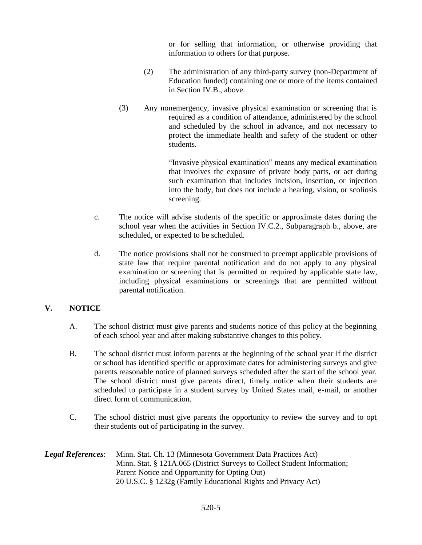or for selling that information, or otherwise providing that information to others for that purpose.

- (2) The administration of any third-party survey (non-Department of Education funded) containing one or more of the items contained in Section IV.B., above.
- (3) Any nonemergency, invasive physical examination or screening that is required as a condition of attendance, administered by the school and scheduled by the school in advance, and not necessary to protect the immediate health and safety of the student or other students.

"Invasive physical examination" means any medical examination that involves the exposure of private body parts, or act during such examination that includes incision, insertion, or injection into the body, but does not include a hearing, vision, or scoliosis screening.

- c. The notice will advise students of the specific or approximate dates during the school year when the activities in Section IV.C.2., Subparagraph b., above, are scheduled, or expected to be scheduled.
- d. The notice provisions shall not be construed to preempt applicable provisions of state law that require parental notification and do not apply to any physical examination or screening that is permitted or required by applicable state law, including physical examinations or screenings that are permitted without parental notification.

# **V. NOTICE**

- A. The school district must give parents and students notice of this policy at the beginning of each school year and after making substantive changes to this policy.
- B. The school district must inform parents at the beginning of the school year if the district or school has identified specific or approximate dates for administering surveys and give parents reasonable notice of planned surveys scheduled after the start of the school year. The school district must give parents direct, timely notice when their students are scheduled to participate in a student survey by United States mail, e-mail, or another direct form of communication.
- C. The school district must give parents the opportunity to review the survey and to opt their students out of participating in the survey.

*Legal References*: Minn. Stat. Ch. 13 (Minnesota Government Data Practices Act) Minn. Stat. § 121A.065 (District Surveys to Collect Student Information; Parent Notice and Opportunity for Opting Out) 20 U.S.C. § 1232g (Family Educational Rights and Privacy Act)